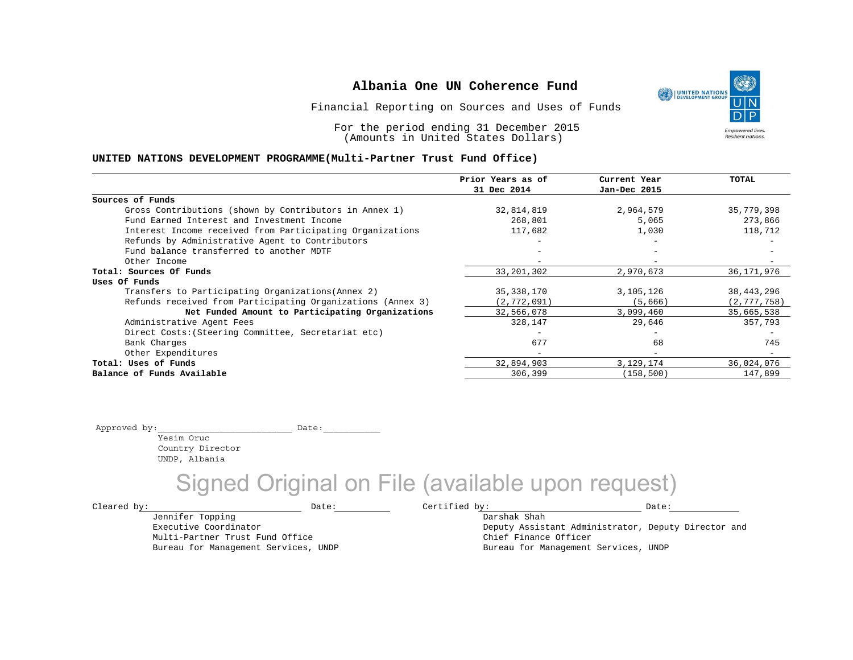Financial Reporting on Sources and Uses of Funds

For the period ending 31 December 2015 (Amounts in United States Dollars)

#### **UNITED NATIONS DEVELOPMENT PROGRAMME(Multi-Partner Trust Fund Office)**

|                                                             | Prior Years as of        | Current Year | <b>TOTAL</b>  |
|-------------------------------------------------------------|--------------------------|--------------|---------------|
|                                                             | 31 Dec 2014              | Jan-Dec 2015 |               |
| Sources of Funds                                            |                          |              |               |
| Gross Contributions (shown by Contributors in Annex 1)      | 32,814,819               | 2,964,579    | 35,779,398    |
| Fund Earned Interest and Investment Income                  | 268,801                  | 5,065        | 273,866       |
| Interest Income received from Participating Organizations   | 117,682                  | 1,030        | 118,712       |
| Refunds by Administrative Agent to Contributors             |                          | -            |               |
| Fund balance transferred to another MDTF                    |                          | $-$          |               |
| Other Income                                                |                          |              |               |
| Total: Sources Of Funds                                     | 33, 201, 302             | 2,970,673    | 36, 171, 976  |
| Uses Of Funds                                               |                          |              |               |
| Transfers to Participating Organizations (Annex 2)          | 35, 338, 170             | 3,105,126    | 38, 443, 296  |
| Refunds received from Participating Organizations (Annex 3) | (2, 772, 091)            | (5,666)      | (2, 777, 758) |
| Net Funded Amount to Participating Organizations            | 32,566,078               | 3,099,460    | 35,665,538    |
| Administrative Agent Fees                                   | 328,147                  | 29,646       | 357,793       |
| Direct Costs: (Steering Committee, Secretariat etc)         |                          | -            |               |
| Bank Charges                                                | 677                      | 68           | 745           |
| Other Expenditures                                          | $\overline{\phantom{m}}$ | $-$          |               |
| Total: Uses of Funds                                        | 32,894,903               | 3,129,174    | 36,024,076    |
| Balance of Funds Available                                  | 306,399                  | (158, 500)   | 147,899       |

Approved by:\_\_\_\_\_\_\_\_\_\_\_\_\_\_\_\_\_\_\_\_\_\_\_\_\_\_ Date:\_\_\_\_\_\_\_\_\_\_\_

Yesim Oruc Country Director UNDP, Albania

Jennifer Topping Executive Coordinator

Multi-Partner Trust Fund Office Bureau for Management Services, UNDP

Signed Original on File (available upon request)

 $\texttt{Cleared by:}\footnotesize \begin{minipage}{14pt} \begin{tabular}{p{0.87\textwidth}p{0.87\textwidth}} \centering \end{tabular} \end{minipage}$ 

Darshak Shah Deputy Assistant Administrator, Deputy Director and Chief Finance Officer Bureau for Management Services, UNDP

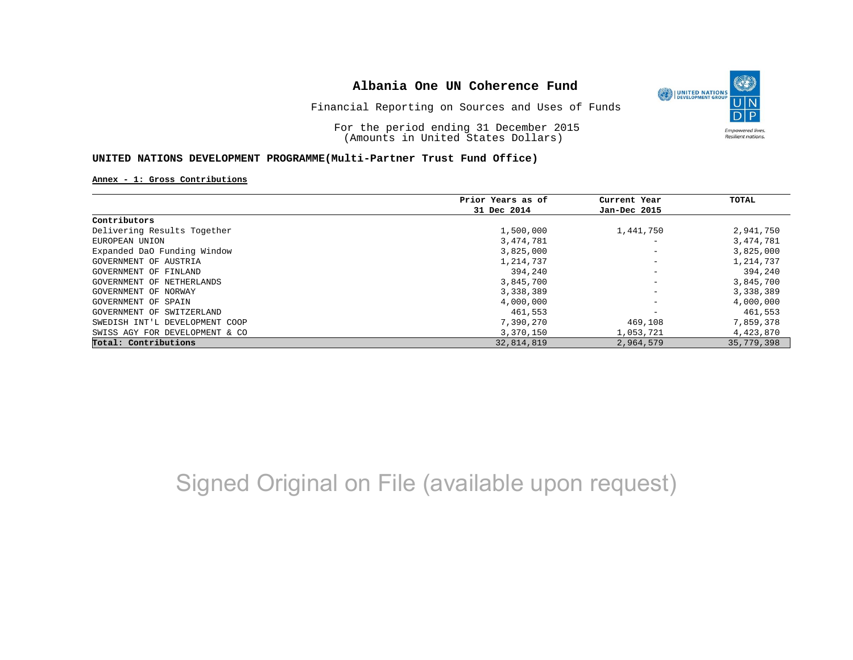

Financial Reporting on Sources and Uses of Funds

For the period ending 31 December 2015 (Amounts in United States Dollars)

#### **UNITED NATIONS DEVELOPMENT PROGRAMME(Multi-Partner Trust Fund Office)**

#### **Annex - 1: Gross Contributions**

|                                | Prior Years as of | Current Year                 | TOTAL      |
|--------------------------------|-------------------|------------------------------|------------|
|                                | 31 Dec 2014       | Jan-Dec 2015                 |            |
| Contributors                   |                   |                              |            |
| Delivering Results Together    | 1,500,000         | 1,441,750                    | 2,941,750  |
| EUROPEAN UNION                 | 3,474,781         | $\overline{\phantom{m}}$     | 3,474,781  |
| Expanded DaO Funding Window    | 3,825,000         | $\qquad \qquad \blacksquare$ | 3,825,000  |
| GOVERNMENT OF AUSTRIA          | 1,214,737         | $\qquad \qquad \blacksquare$ | 1,214,737  |
| GOVERNMENT OF FINLAND          | 394,240           | $\qquad \qquad \blacksquare$ | 394,240    |
| GOVERNMENT OF NETHERLANDS      | 3,845,700         | -                            | 3,845,700  |
| GOVERNMENT OF NORWAY           | 3,338,389         | -                            | 3,338,389  |
| GOVERNMENT OF SPAIN            | 4,000,000         | -                            | 4,000,000  |
| GOVERNMENT OF SWITZERLAND      | 461,553           |                              | 461,553    |
| SWEDISH INT'L DEVELOPMENT COOP | 7,390,270         | 469,108                      | 7,859,378  |
| SWISS AGY FOR DEVELOPMENT & CO | 3,370,150         | 1,053,721                    | 4,423,870  |
| Total: Contributions           | 32,814,819        | 2,964,579                    | 35,779,398 |

# Signed Original on File (available upon request)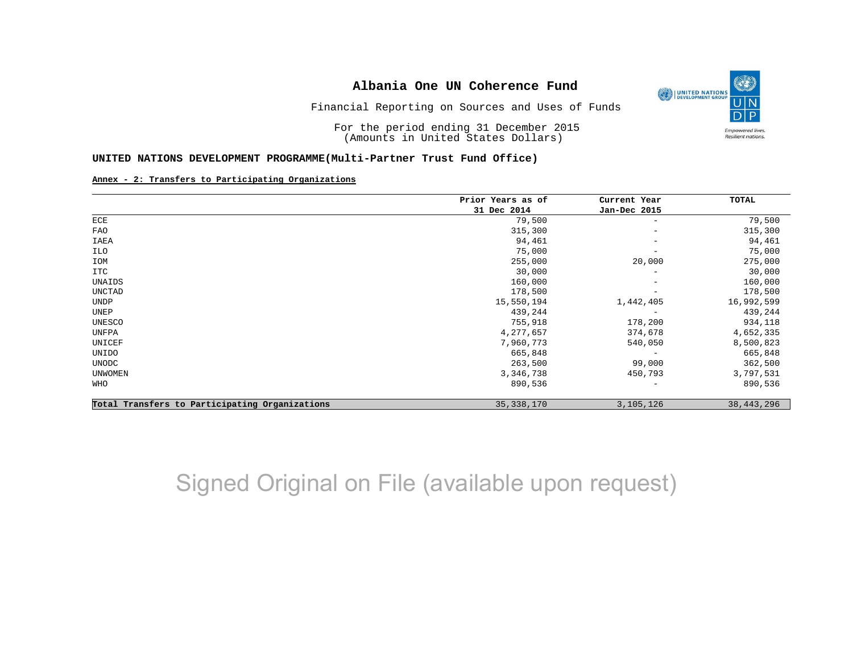

Financial Reporting on Sources and Uses of Funds

For the period ending 31 December 2015 (Amounts in United States Dollars)

#### **UNITED NATIONS DEVELOPMENT PROGRAMME(Multi-Partner Trust Fund Office)**

#### **Annex - 2: Transfers to Participating Organizations**

|                                                | Prior Years as of | Current Year             | TOTAL        |
|------------------------------------------------|-------------------|--------------------------|--------------|
|                                                | 31 Dec 2014       | Jan-Dec 2015             |              |
| ECE                                            | 79,500            | $\overline{\phantom{m}}$ | 79,500       |
| <b>FAO</b>                                     | 315,300           | $\overline{\phantom{a}}$ | 315,300      |
| IAEA                                           | 94,461            | $\overline{\phantom{a}}$ | 94,461       |
| ILO                                            | 75,000            | $\overline{\phantom{m}}$ | 75,000       |
| IOM                                            | 255,000           | 20,000                   | 275,000      |
| ITC                                            | 30,000            | $\overline{\phantom{m}}$ | 30,000       |
| UNAIDS                                         | 160,000           | $\overline{\phantom{m}}$ | 160,000      |
| UNCTAD                                         | 178,500           | $\qquad \qquad -$        | 178,500      |
| <b>UNDP</b>                                    | 15,550,194        | 1,442,405                | 16,992,599   |
| UNEP                                           | 439,244           | $\qquad \qquad -$        | 439,244      |
| UNESCO                                         | 755,918           | 178,200                  | 934,118      |
| UNFPA                                          | 4,277,657         | 374,678                  | 4,652,335    |
| UNICEF                                         | 7,960,773         | 540,050                  | 8,500,823    |
| UNIDO                                          | 665,848           | $\overline{\phantom{m}}$ | 665,848      |
| <b>UNODC</b>                                   | 263,500           | 99,000                   | 362,500      |
| UNWOMEN                                        | 3,346,738         | 450,793                  | 3,797,531    |
| WHO                                            | 890,536           | $\overline{\phantom{0}}$ | 890,536      |
| Total Transfers to Participating Organizations | 35, 338, 170      | 3,105,126                | 38, 443, 296 |

# Signed Original on File (available upon request)